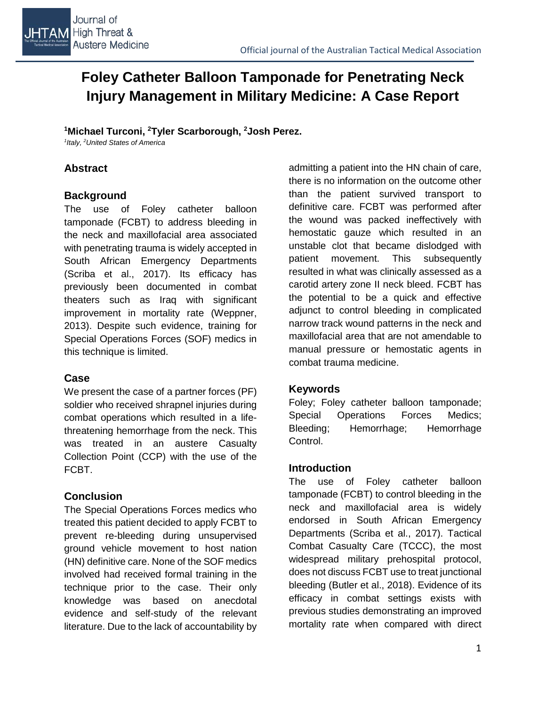# **Foley Catheter Balloon Tamponade for Penetrating Neck Injury Management in Military Medicine: A Case Report**

#### **1 Michael Turconi, 2Tyler Scarborough, <sup>2</sup> Josh Perez.**

*1 Italy, <sup>2</sup> United States of America*

## **Abstract**

## **Background**

The use of Foley catheter balloon tamponade (FCBT) to address bleeding in the neck and maxillofacial area associated with penetrating trauma is widely accepted in South African Emergency Departments (Scriba et al., 2017). Its efficacy has previously been documented in combat theaters such as Iraq with significant improvement in mortality rate (Weppner, 2013). Despite such evidence, training for Special Operations Forces (SOF) medics in this technique is limited.

# **Case**

We present the case of a partner forces (PF) soldier who received shrapnel injuries during combat operations which resulted in a lifethreatening hemorrhage from the neck. This was treated in an austere Casualty Collection Point (CCP) with the use of the FCBT.

# **Conclusion**

The Special Operations Forces medics who treated this patient decided to apply FCBT to prevent re-bleeding during unsupervised ground vehicle movement to host nation (HN) definitive care. None of the SOF medics involved had received formal training in the technique prior to the case. Their only knowledge was based on anecdotal evidence and self-study of the relevant literature. Due to the lack of accountability by

admitting a patient into the HN chain of care, there is no information on the outcome other than the patient survived transport to definitive care. FCBT was performed after the wound was packed ineffectively with hemostatic gauze which resulted in an unstable clot that became dislodged with patient movement. This subsequently resulted in what was clinically assessed as a carotid artery zone II neck bleed. FCBT has the potential to be a quick and effective adjunct to control bleeding in complicated narrow track wound patterns in the neck and maxillofacial area that are not amendable to manual pressure or hemostatic agents in combat trauma medicine.

## **Keywords**

Foley; Foley catheter balloon tamponade; Special Operations Forces Medics; Bleeding; Hemorrhage; Hemorrhage Control.

## **Introduction**

The use of Foley catheter balloon tamponade (FCBT) to control bleeding in the neck and maxillofacial area is widely endorsed in South African Emergency Departments (Scriba et al., 2017). Tactical Combat Casualty Care (TCCC), the most widespread military prehospital protocol, does not discuss FCBT use to treat junctional bleeding (Butler et al., 2018). Evidence of its efficacy in combat settings exists with previous studies demonstrating an improved mortality rate when compared with direct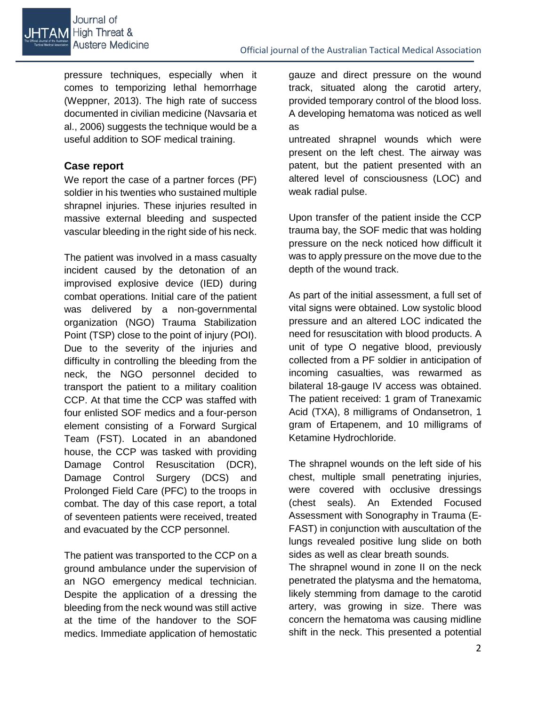pressure techniques, especially when it comes to temporizing lethal hemorrhage (Weppner, 2013). The high rate of success documented in civilian medicine (Navsaria et al., 2006) suggests the technique would be a useful addition to SOF medical training.

#### **Case report**

We report the case of a partner forces (PF) soldier in his twenties who sustained multiple shrapnel injuries. These injuries resulted in massive external bleeding and suspected vascular bleeding in the right side of his neck.

The patient was involved in a mass casualty incident caused by the detonation of an improvised explosive device (IED) during combat operations. Initial care of the patient was delivered by a non-governmental organization (NGO) Trauma Stabilization Point (TSP) close to the point of injury (POI). Due to the severity of the injuries and difficulty in controlling the bleeding from the neck, the NGO personnel decided to transport the patient to a military coalition CCP. At that time the CCP was staffed with four enlisted SOF medics and a four-person element consisting of a Forward Surgical Team (FST). Located in an abandoned house, the CCP was tasked with providing Damage Control Resuscitation (DCR), Damage Control Surgery (DCS) and Prolonged Field Care (PFC) to the troops in combat. The day of this case report, a total of seventeen patients were received, treated and evacuated by the CCP personnel.

The patient was transported to the CCP on a ground ambulance under the supervision of an NGO emergency medical technician. Despite the application of a dressing the bleeding from the neck wound was still active at the time of the handover to the SOF medics. Immediate application of hemostatic

gauze and direct pressure on the wound track, situated along the carotid artery, provided temporary control of the blood loss. A developing hematoma was noticed as well as

untreated shrapnel wounds which were present on the left chest. The airway was patent, but the patient presented with an altered level of consciousness (LOC) and weak radial pulse.

Upon transfer of the patient inside the CCP trauma bay, the SOF medic that was holding pressure on the neck noticed how difficult it was to apply pressure on the move due to the depth of the wound track.

As part of the initial assessment, a full set of vital signs were obtained. Low systolic blood pressure and an altered LOC indicated the need for resuscitation with blood products. A unit of type O negative blood, previously collected from a PF soldier in anticipation of incoming casualties, was rewarmed as bilateral 18-gauge IV access was obtained. The patient received: 1 gram of Tranexamic Acid (TXA), 8 milligrams of Ondansetron, 1 gram of Ertapenem, and 10 milligrams of Ketamine Hydrochloride.

The shrapnel wounds on the left side of his chest, multiple small penetrating injuries, were covered with occlusive dressings (chest seals). An Extended Focused Assessment with Sonography in Trauma (E-FAST) in conjunction with auscultation of the lungs revealed positive lung slide on both sides as well as clear breath sounds.

The shrapnel wound in zone II on the neck penetrated the platysma and the hematoma, likely stemming from damage to the carotid artery, was growing in size. There was concern the hematoma was causing midline shift in the neck. This presented a potential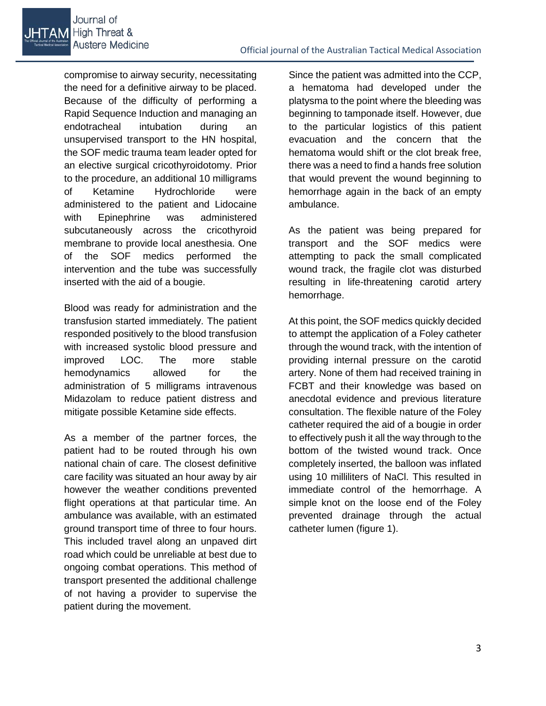

compromise to airway security, necessitating the need for a definitive airway to be placed. Because of the difficulty of performing a Rapid Sequence Induction and managing an endotracheal intubation during an unsupervised transport to the HN hospital, the SOF medic trauma team leader opted for an elective surgical cricothyroidotomy. Prior to the procedure, an additional 10 milligrams of Ketamine Hydrochloride were administered to the patient and Lidocaine with Epinephrine was administered subcutaneously across the cricothyroid membrane to provide local anesthesia. One of the SOF medics performed the intervention and the tube was successfully inserted with the aid of a bougie.

Blood was ready for administration and the transfusion started immediately. The patient responded positively to the blood transfusion with increased systolic blood pressure and improved LOC. The more stable hemodynamics allowed for the administration of 5 milligrams intravenous Midazolam to reduce patient distress and mitigate possible Ketamine side effects.

As a member of the partner forces, the patient had to be routed through his own national chain of care. The closest definitive care facility was situated an hour away by air however the weather conditions prevented flight operations at that particular time. An ambulance was available, with an estimated ground transport time of three to four hours. This included travel along an unpaved dirt road which could be unreliable at best due to ongoing combat operations. This method of transport presented the additional challenge of not having a provider to supervise the patient during the movement.

Since the patient was admitted into the CCP, a hematoma had developed under the platysma to the point where the bleeding was beginning to tamponade itself. However, due to the particular logistics of this patient evacuation and the concern that the hematoma would shift or the clot break free, there was a need to find a hands free solution that would prevent the wound beginning to hemorrhage again in the back of an empty ambulance.

As the patient was being prepared for transport and the SOF medics were attempting to pack the small complicated wound track, the fragile clot was disturbed resulting in life-threatening carotid artery hemorrhage.

At this point, the SOF medics quickly decided to attempt the application of a Foley catheter through the wound track, with the intention of providing internal pressure on the carotid artery. None of them had received training in FCBT and their knowledge was based on anecdotal evidence and previous literature consultation. The flexible nature of the Foley catheter required the aid of a bougie in order to effectively push it all the way through to the bottom of the twisted wound track. Once completely inserted, the balloon was inflated using 10 milliliters of NaCl. This resulted in immediate control of the hemorrhage. A simple knot on the loose end of the Foley prevented drainage through the actual catheter lumen (figure 1).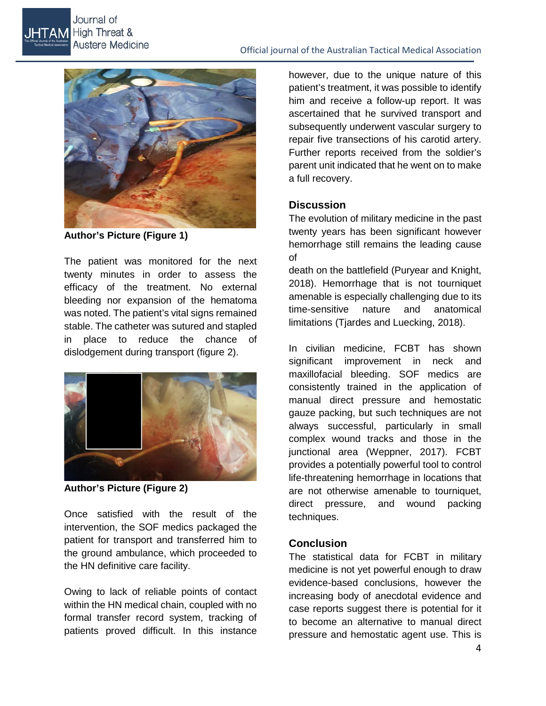

**Author's Picture (Figure 1)**

Journal of **High Threat &** 

**Austere Medicine** 

JHTAM

The patient was monitored for the next twenty minutes in order to assess the efficacy of the treatment. No external bleeding nor expansion of the hematoma was noted. The patient's vital signs remained stable. The catheter was sutured and stapled in place to reduce the chance of dislodgement during transport (figure 2).



**Author's Picture (Figure 2)**

Once satisfied with the result of the intervention, the SOF medics packaged the patient for transport and transferred him to the ground ambulance, which proceeded to the HN definitive care facility.

Owing to lack of reliable points of contact within the HN medical chain, coupled with no formal transfer record system, tracking of patients proved difficult. In this instance

however, due to the unique nature of this patient's treatment, it was possible to identify him and receive a follow-up report. It was ascertained that he survived transport and subsequently underwent vascular surgery to repair five transections of his carotid artery. Further reports received from the soldier's parent unit indicated that he went on to make a full recovery.

#### **Discussion**

The evolution of military medicine in the past twenty years has been significant however hemorrhage still remains the leading cause of

death on the battlefield (Puryear and Knight, 2018). Hemorrhage that is not tourniquet amenable is especially challenging due to its time-sensitive nature and anatomical limitations (Tjardes and Luecking, 2018).

In civilian medicine, FCBT has shown significant improvement in neck and maxillofacial bleeding. SOF medics are consistently trained in the application of manual direct pressure and hemostatic gauze packing, but such techniques are not always successful, particularly in small complex wound tracks and those in the junctional area (Weppner, 2017). FCBT provides a potentially powerful tool to control life-threatening hemorrhage in locations that are not otherwise amenable to tourniquet, direct pressure, and wound packing techniques.

## **Conclusion**

The statistical data for FCBT in military medicine is not yet powerful enough to draw evidence-based conclusions, however the increasing body of anecdotal evidence and case reports suggest there is potential for it to become an alternative to manual direct pressure and hemostatic agent use. This is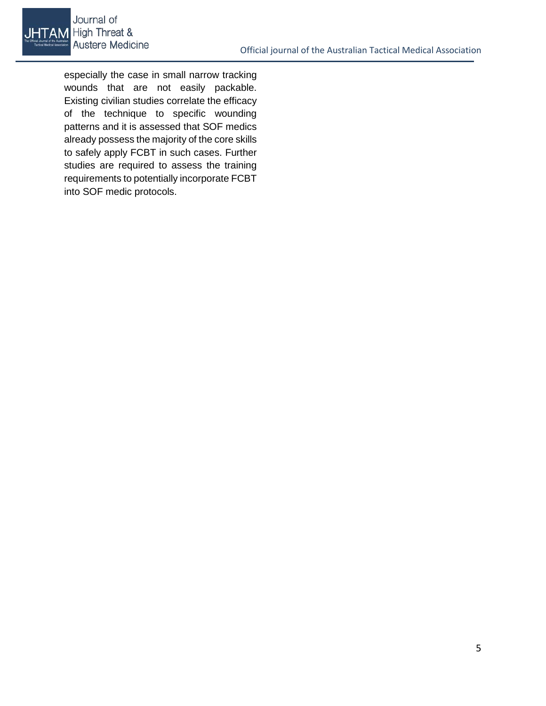

especially the case in small narrow tracking wounds that are not easily packable. Existing civilian studies correlate the efficacy of the technique to specific wounding patterns and it is assessed that SOF medics already possess the majority of the core skills to safely apply FCBT in such cases. Further studies are required to assess the training requirements to potentially incorporate FCBT into SOF medic protocols.